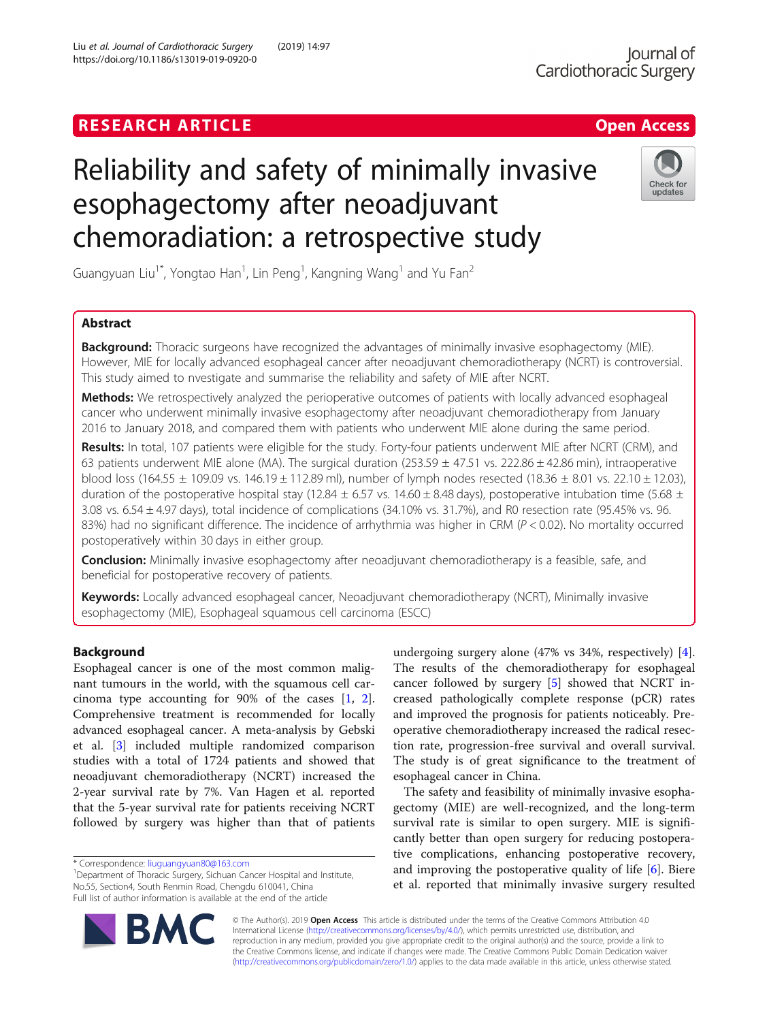https://doi.org/10.1186/s13019-019-0920-0

Liu et al. Journal of Cardiothoracic Surgery (2019) 14:97

# Reliability and safety of minimally invasive esophagectomy after neoadjuvant chemoradiation: a retrospective study



Guangyuan Liu<sup>1\*</sup>, Yongtao Han<sup>1</sup>, Lin Peng<sup>1</sup>, Kangning Wang<sup>1</sup> and Yu Fan<sup>2</sup>

# Abstract

**Background:** Thoracic surgeons have recognized the advantages of minimally invasive esophagectomy (MIE). However, MIE for locally advanced esophageal cancer after neoadjuvant chemoradiotherapy (NCRT) is controversial. This study aimed to nvestigate and summarise the reliability and safety of MIE after NCRT.

Methods: We retrospectively analyzed the perioperative outcomes of patients with locally advanced esophageal cancer who underwent minimally invasive esophagectomy after neoadjuvant chemoradiotherapy from January 2016 to January 2018, and compared them with patients who underwent MIE alone during the same period.

Results: In total, 107 patients were eligible for the study. Forty-four patients underwent MIE after NCRT (CRM), and 63 patients underwent MIE alone (MA). The surgical duration (253.59  $\pm$  47.51 vs. 222.86  $\pm$  42.86 min), intraoperative blood loss (164.55 ± 109.09 vs. 146.19 ± 112.89 ml), number of lymph nodes resected (18.36 ± 8.01 vs. 22.10 ± 12.03), duration of the postoperative hospital stay (12.84  $\pm$  6.57 vs. 14.60  $\pm$  8.48 days), postoperative intubation time (5.68  $\pm$ 3.08 vs. 6.54 ± 4.97 days), total incidence of complications (34.10% vs. 31.7%), and R0 resection rate (95.45% vs. 96. 83%) had no significant difference. The incidence of arrhythmia was higher in CRM ( $P < 0.02$ ). No mortality occurred postoperatively within 30 days in either group.

**Conclusion:** Minimally invasive esophagectomy after neoadjuvant chemoradiotherapy is a feasible, safe, and beneficial for postoperative recovery of patients.

Keywords: Locally advanced esophageal cancer, Neoadjuvant chemoradiotherapy (NCRT), Minimally invasive esophagectomy (MIE), Esophageal squamous cell carcinoma (ESCC)

# Background

Esophageal cancer is one of the most common malignant tumours in the world, with the squamous cell carcinoma type accounting for 90% of the cases  $[1, 2]$  $[1, 2]$  $[1, 2]$  $[1, 2]$  $[1, 2]$ . Comprehensive treatment is recommended for locally advanced esophageal cancer. A meta-analysis by Gebski et al. [\[3\]](#page-5-0) included multiple randomized comparison studies with a total of 1724 patients and showed that neoadjuvant chemoradiotherapy (NCRT) increased the 2-year survival rate by 7%. Van Hagen et al. reported that the 5-year survival rate for patients receiving NCRT followed by surgery was higher than that of patients

<sup>1</sup>Department of Thoracic Surgery, Sichuan Cancer Hospital and Institute, No.55, Section4, South Renmin Road, Chengdu 610041, China Full list of author information is available at the end of the article

undergoing surgery alone (47% vs 34%, respectively) [\[4](#page-5-0)]. The results of the chemoradiotherapy for esophageal cancer followed by surgery [\[5](#page-5-0)] showed that NCRT increased pathologically complete response (pCR) rates and improved the prognosis for patients noticeably. Preoperative chemoradiotherapy increased the radical resection rate, progression-free survival and overall survival. The study is of great significance to the treatment of esophageal cancer in China.

The safety and feasibility of minimally invasive esophagectomy (MIE) are well-recognized, and the long-term survival rate is similar to open surgery. MIE is significantly better than open surgery for reducing postoperative complications, enhancing postoperative recovery, and improving the postoperative quality of life [\[6\]](#page-5-0). Biere et al. reported that minimally invasive surgery resulted



© The Author(s). 2019 Open Access This article is distributed under the terms of the Creative Commons Attribution 4.0 International License [\(http://creativecommons.org/licenses/by/4.0/](http://creativecommons.org/licenses/by/4.0/)), which permits unrestricted use, distribution, and reproduction in any medium, provided you give appropriate credit to the original author(s) and the source, provide a link to the Creative Commons license, and indicate if changes were made. The Creative Commons Public Domain Dedication waiver [\(http://creativecommons.org/publicdomain/zero/1.0/](http://creativecommons.org/publicdomain/zero/1.0/)) applies to the data made available in this article, unless otherwise stated.

<sup>\*</sup> Correspondence: [liuguangyuan80@163.com](mailto:liuguangyuan80@163.com) <sup>1</sup>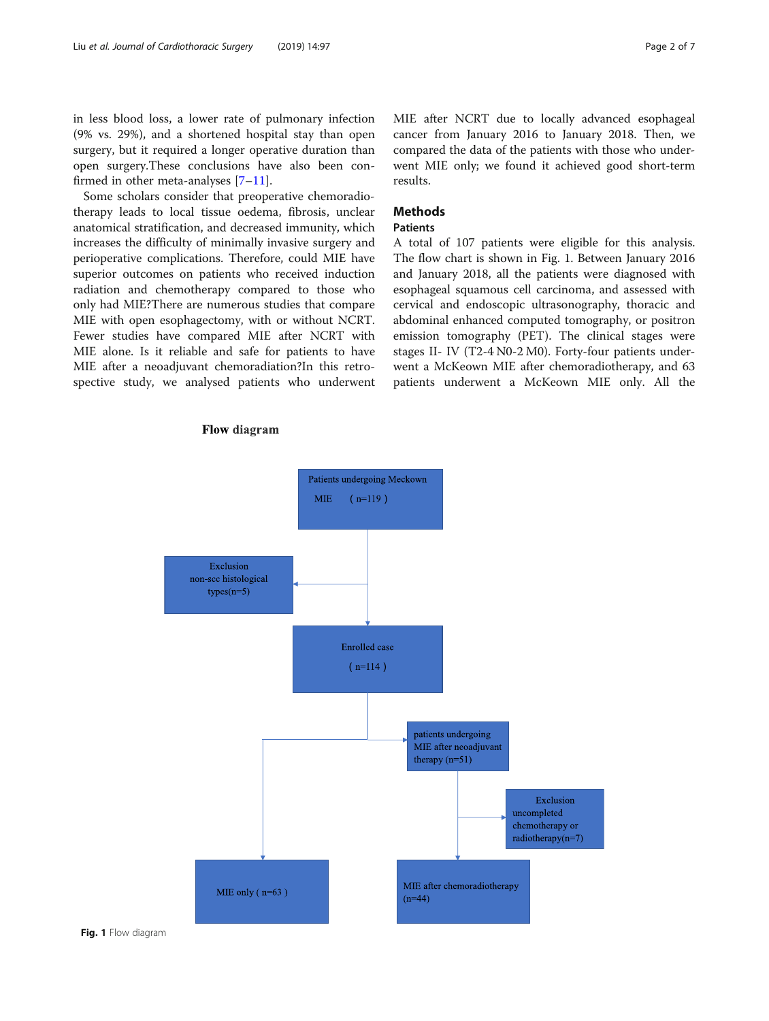<span id="page-1-0"></span>in less blood loss, a lower rate of pulmonary infection (9% vs. 29%), and a shortened hospital stay than open surgery, but it required a longer operative duration than open surgery.These conclusions have also been confirmed in other meta-analyses [\[7](#page-6-0)–[11\]](#page-6-0).

Some scholars consider that preoperative chemoradiotherapy leads to local tissue oedema, fibrosis, unclear anatomical stratification, and decreased immunity, which increases the difficulty of minimally invasive surgery and perioperative complications. Therefore, could MIE have superior outcomes on patients who received induction radiation and chemotherapy compared to those who only had MIE?There are numerous studies that compare MIE with open esophagectomy, with or without NCRT. Fewer studies have compared MIE after NCRT with MIE alone. Is it reliable and safe for patients to have MIE after a neoadjuvant chemoradiation?In this retrospective study, we analysed patients who underwent MIE after NCRT due to locally advanced esophageal cancer from January 2016 to January 2018. Then, we compared the data of the patients with those who underwent MIE only; we found it achieved good short-term results.

# Methods

### Patients

A total of 107 patients were eligible for this analysis. The flow chart is shown in Fig. 1. Between January 2016 and January 2018, all the patients were diagnosed with esophageal squamous cell carcinoma, and assessed with cervical and endoscopic ultrasonography, thoracic and abdominal enhanced computed tomography, or positron emission tomography (PET). The clinical stages were stages II- IV (T2-4 N0-2 M0). Forty-four patients underwent a McKeown MIE after chemoradiotherapy, and 63 patients underwent a McKeown MIE only. All the



# **Flow diagram**

Fig. 1 Flow diagram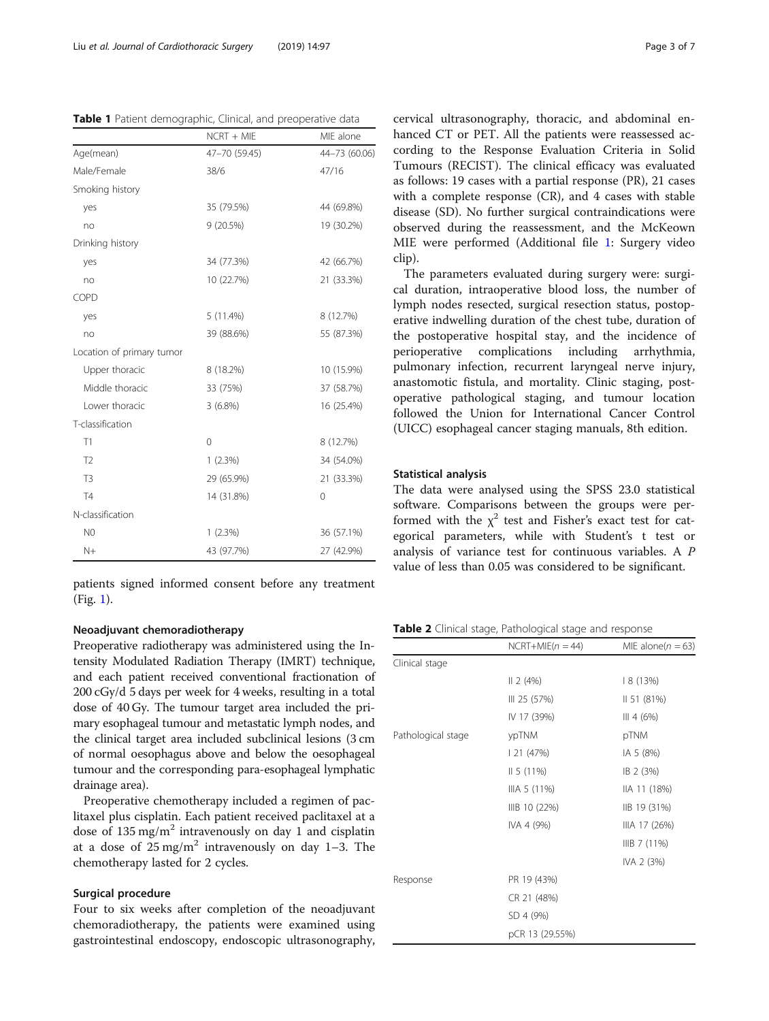<span id="page-2-0"></span>

|  |  | Table 1 Patient demographic, Clinical, and preoperative data |  |  |  |
|--|--|--------------------------------------------------------------|--|--|--|
|--|--|--------------------------------------------------------------|--|--|--|

|                           | $NCRT + MIE$  | MIE alone     |
|---------------------------|---------------|---------------|
| Age(mean)                 | 47-70 (59.45) | 44-73 (60.06) |
| Male/Female               | 38/6          | 47/16         |
| Smoking history           |               |               |
| yes                       | 35 (79.5%)    | 44 (69.8%)    |
| no                        | 9 (20.5%)     | 19 (30.2%)    |
| Drinking history          |               |               |
| yes                       | 34 (77.3%)    | 42 (66.7%)    |
| no                        | 10 (22.7%)    | 21 (33.3%)    |
| COPD                      |               |               |
| yes                       | 5(11.4%)      | 8 (12.7%)     |
| no                        | 39 (88.6%)    | 55 (87.3%)    |
| Location of primary tumor |               |               |
| Upper thoracic            | 8 (18.2%)     | 10 (15.9%)    |
| Middle thoracic           | 33 (75%)      | 37 (58.7%)    |
| Lower thoracic            | $3(6.8\%)$    | 16 (25.4%)    |
| T-classification          |               |               |
| T1                        | 0             | 8 (12.7%)     |
| T <sub>2</sub>            | 1(2.3%)       | 34 (54.0%)    |
| T <sub>3</sub>            | 29 (65.9%)    | 21 (33.3%)    |
| T4                        | 14 (31.8%)    | 0             |
| N-classification          |               |               |
| N <sub>0</sub>            | 1(2.3%)       | 36 (57.1%)    |
| $N+$                      | 43 (97.7%)    | 27 (42.9%)    |

patients signed informed consent before any treatment (Fig. [1](#page-1-0)).

# Neoadjuvant chemoradiotherapy

Preoperative radiotherapy was administered using the Intensity Modulated Radiation Therapy (IMRT) technique, and each patient received conventional fractionation of 200 cGy/d 5 days per week for 4 weeks, resulting in a total dose of 40 Gy. The tumour target area included the primary esophageal tumour and metastatic lymph nodes, and the clinical target area included subclinical lesions (3 cm of normal oesophagus above and below the oesophageal tumour and the corresponding para-esophageal lymphatic drainage area).

Preoperative chemotherapy included a regimen of paclitaxel plus cisplatin. Each patient received paclitaxel at a dose of  $135 \text{ mg/m}^2$  intravenously on day 1 and cisplatin at a dose of  $25 \text{ mg/m}^2$  intravenously on day 1–3. The chemotherapy lasted for 2 cycles.

# Surgical procedure

Four to six weeks after completion of the neoadjuvant chemoradiotherapy, the patients were examined using gastrointestinal endoscopy, endoscopic ultrasonography, cervical ultrasonography, thoracic, and abdominal enhanced CT or PET. All the patients were reassessed according to the Response Evaluation Criteria in Solid Tumours (RECIST). The clinical efficacy was evaluated as follows: 19 cases with a partial response (PR), 21 cases with a complete response (CR), and 4 cases with stable disease (SD). No further surgical contraindications were observed during the reassessment, and the McKeown MIE were performed (Additional file [1](#page-5-0): Surgery video clip).

The parameters evaluated during surgery were: surgical duration, intraoperative blood loss, the number of lymph nodes resected, surgical resection status, postoperative indwelling duration of the chest tube, duration of the postoperative hospital stay, and the incidence of perioperative complications including arrhythmia, pulmonary infection, recurrent laryngeal nerve injury, anastomotic fistula, and mortality. Clinic staging, postoperative pathological staging, and tumour location followed the Union for International Cancer Control (UICC) esophageal cancer staging manuals, 8th edition.

#### Statistical analysis

The data were analysed using the SPSS 23.0 statistical software. Comparisons between the groups were performed with the  $\chi^2$  test and Fisher's exact test for categorical parameters, while with Student's t test or analysis of variance test for continuous variables. A P value of less than 0.05 was considered to be significant.

Table 2 Clinical stage, Pathological stage and response

|                    | $NCRT+MIE(n = 44)$ | MIE alone( $n = 63$ ) |
|--------------------|--------------------|-----------------------|
| Clinical stage     |                    |                       |
|                    | 2 (4%)             | 8 (13%)               |
|                    | III 25 (57%)       | II 51 (81%)           |
|                    | IV 17 (39%)        | III 4 (6%)            |
| Pathological stage | ypTNM              | pTNM                  |
|                    | 21 (47%)           | IA 5 (8%)             |
|                    | II 5(11%)          | IB 2 (3%)             |
|                    | IIIA 5 (11%)       | IIA 11 (18%)          |
|                    | IIIB 10 (22%)      | IIB 19 (31%)          |
|                    | IVA 4 (9%)         | IIIA 17 (26%)         |
|                    |                    | IIB 7(11%)            |
|                    |                    | IVA 2 (3%)            |
| Response           | PR 19 (43%)        |                       |
|                    | CR 21 (48%)        |                       |
|                    | SD 4 (9%)          |                       |
|                    | pCR 13 (29.55%)    |                       |
|                    |                    |                       |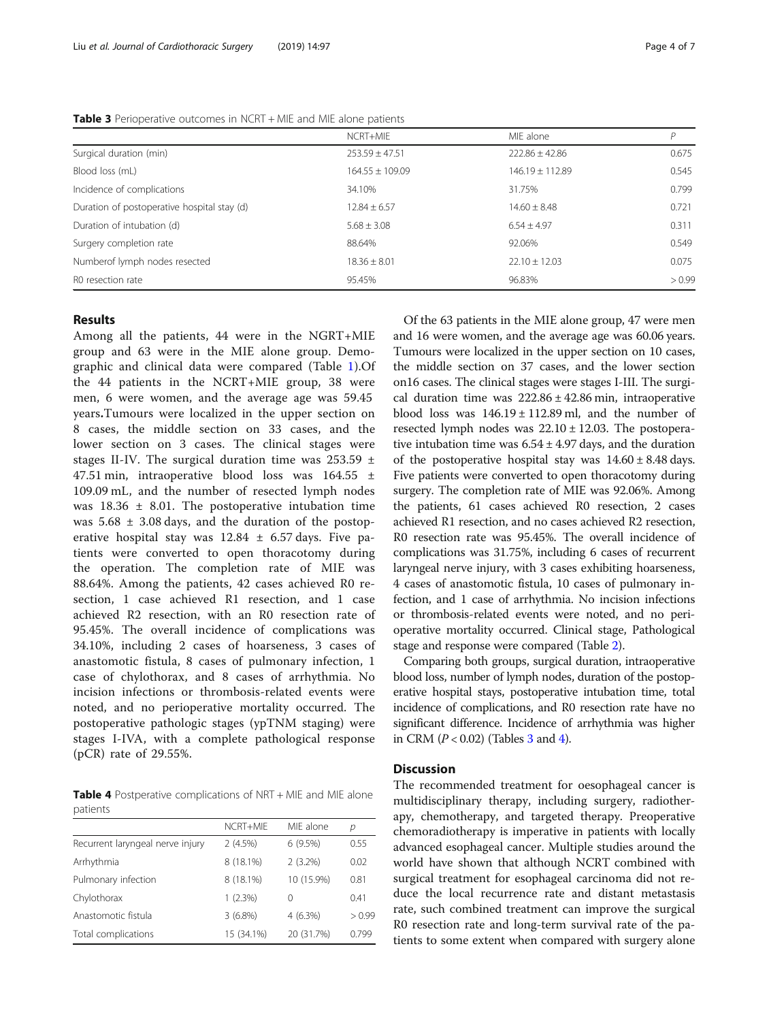|                                             | NCRT+MIE            | MIF alone           | P      |
|---------------------------------------------|---------------------|---------------------|--------|
| Surgical duration (min)                     | $253.59 \pm 47.51$  | $222.86 \pm 42.86$  | 0.675  |
| Blood loss (mL)                             | $164.55 \pm 109.09$ | $146.19 \pm 112.89$ | 0.545  |
| Incidence of complications                  | 34.10%              | 31.75%              | 0.799  |
| Duration of postoperative hospital stay (d) | $12.84 \pm 6.57$    | $14.60 \pm 8.48$    | 0.721  |
| Duration of intubation (d)                  | $5.68 + 3.08$       | $6.54 + 4.97$       | 0.311  |
| Surgery completion rate                     | 88.64%              | 92.06%              | 0.549  |
| Numberof lymph nodes resected               | $18.36 \pm 8.01$    | $22.10 \pm 12.03$   | 0.075  |
| R0 resection rate                           | 95.45%              | 96.83%              | > 0.99 |

Table 3 Perioperative outcomes in NCRT + MIE and MIE alone patients

# Results

Among all the patients, 44 were in the NGRT+MIE group and 63 were in the MIE alone group. Demographic and clinical data were compared (Table [1](#page-2-0)).Of the 44 patients in the NCRT+MIE group, 38 were men, 6 were women, and the average age was 59.45 years.Tumours were localized in the upper section on 8 cases, the middle section on 33 cases, and the lower section on 3 cases. The clinical stages were stages II-IV. The surgical duration time was  $253.59 \pm$ 47.51 min, intraoperative blood loss was  $164.55 \pm 164.5$ 109.09 mL, and the number of resected lymph nodes was  $18.36 \pm 8.01$ . The postoperative intubation time was  $5.68 \pm 3.08$  days, and the duration of the postoperative hospital stay was  $12.84 \pm 6.57$  days. Five patients were converted to open thoracotomy during the operation. The completion rate of MIE was 88.64%. Among the patients, 42 cases achieved R0 resection, 1 case achieved R1 resection, and 1 case achieved R2 resection, with an R0 resection rate of 95.45%. The overall incidence of complications was 34.10%, including 2 cases of hoarseness, 3 cases of anastomotic fistula, 8 cases of pulmonary infection, 1 case of chylothorax, and 8 cases of arrhythmia. No incision infections or thrombosis-related events were noted, and no perioperative mortality occurred. The postoperative pathologic stages (ypTNM staging) were stages I-IVA, with a complete pathological response (pCR) rate of 29.55%.

Table 4 Postperative complications of NRT + MIE and MIE alone patients

| NCRT+MIF   | MIF alone  | р      |
|------------|------------|--------|
| 2(4.5%)    | 6(9.5%)    | 0.55   |
| 8 (18.1%)  | $2(3.2\%)$ | 0.02   |
| 8 (18.1%)  | 10 (15.9%) | 0.81   |
| $1(2.3\%)$ | 0          | 0.41   |
| 3(6.8%)    | $4(6.3\%)$ | > 0.99 |
| 15 (34.1%) | 20 (31.7%) | 0.799  |
|            |            |        |

Of the 63 patients in the MIE alone group, 47 were men and 16 were women, and the average age was 60.06 years. Tumours were localized in the upper section on 10 cases, the middle section on 37 cases, and the lower section on16 cases. The clinical stages were stages I-III. The surgical duration time was  $222.86 \pm 42.86$  min, intraoperative blood loss was  $146.19 \pm 112.89$  ml, and the number of resected lymph nodes was  $22.10 \pm 12.03$ . The postoperative intubation time was  $6.54 \pm 4.97$  days, and the duration of the postoperative hospital stay was  $14.60 \pm 8.48$  days. Five patients were converted to open thoracotomy during surgery. The completion rate of MIE was 92.06%. Among the patients, 61 cases achieved R0 resection, 2 cases achieved R1 resection, and no cases achieved R2 resection, R0 resection rate was 95.45%. The overall incidence of complications was 31.75%, including 6 cases of recurrent laryngeal nerve injury, with 3 cases exhibiting hoarseness, 4 cases of anastomotic fistula, 10 cases of pulmonary infection, and 1 case of arrhythmia. No incision infections or thrombosis-related events were noted, and no perioperative mortality occurred. Clinical stage, Pathological stage and response were compared (Table [2\)](#page-2-0).

Comparing both groups, surgical duration, intraoperative blood loss, number of lymph nodes, duration of the postoperative hospital stays, postoperative intubation time, total incidence of complications, and R0 resection rate have no significant difference. Incidence of arrhythmia was higher in CRM  $(P < 0.02)$  (Tables 3 and 4).

# **Discussion**

The recommended treatment for oesophageal cancer is multidisciplinary therapy, including surgery, radiotherapy, chemotherapy, and targeted therapy. Preoperative chemoradiotherapy is imperative in patients with locally advanced esophageal cancer. Multiple studies around the world have shown that although NCRT combined with surgical treatment for esophageal carcinoma did not reduce the local recurrence rate and distant metastasis rate, such combined treatment can improve the surgical R0 resection rate and long-term survival rate of the patients to some extent when compared with surgery alone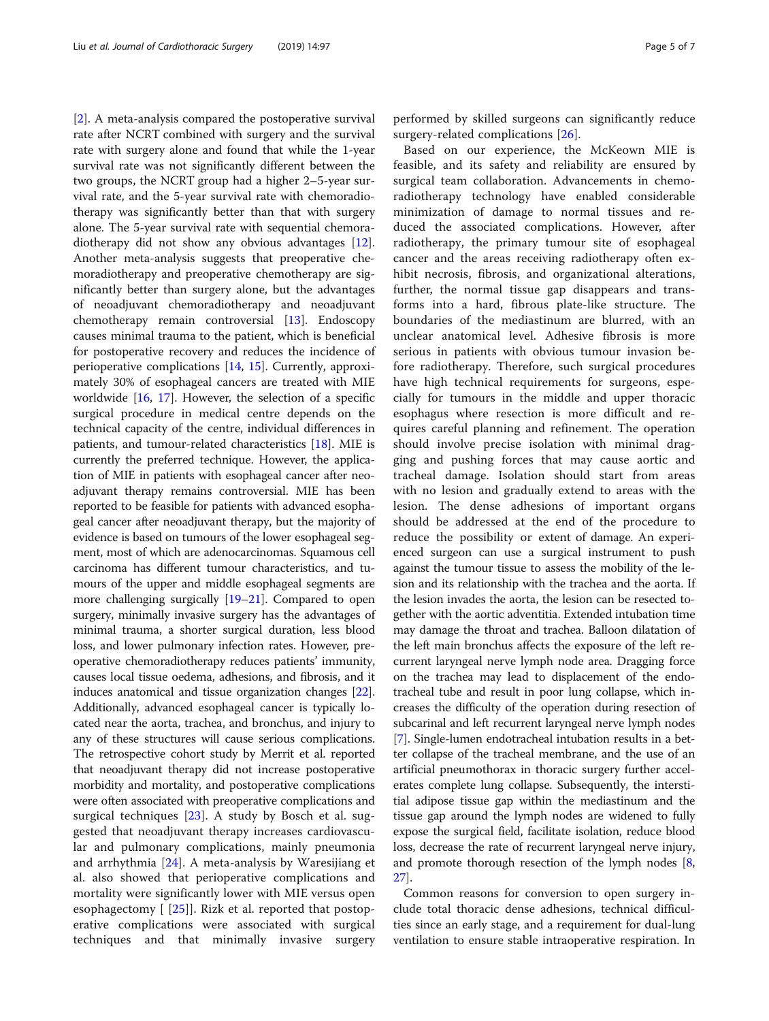[[2\]](#page-5-0). A meta-analysis compared the postoperative survival rate after NCRT combined with surgery and the survival rate with surgery alone and found that while the 1-year survival rate was not significantly different between the two groups, the NCRT group had a higher 2–5-year survival rate, and the 5-year survival rate with chemoradiotherapy was significantly better than that with surgery alone. The 5-year survival rate with sequential chemoradiotherapy did not show any obvious advantages [\[12](#page-6-0)]. Another meta-analysis suggests that preoperative chemoradiotherapy and preoperative chemotherapy are significantly better than surgery alone, but the advantages of neoadjuvant chemoradiotherapy and neoadjuvant chemotherapy remain controversial [\[13](#page-6-0)]. Endoscopy causes minimal trauma to the patient, which is beneficial for postoperative recovery and reduces the incidence of perioperative complications [\[14,](#page-6-0) [15](#page-6-0)]. Currently, approximately 30% of esophageal cancers are treated with MIE worldwide [\[16](#page-6-0), [17](#page-6-0)]. However, the selection of a specific surgical procedure in medical centre depends on the technical capacity of the centre, individual differences in patients, and tumour-related characteristics [[18\]](#page-6-0). MIE is currently the preferred technique. However, the application of MIE in patients with esophageal cancer after neoadjuvant therapy remains controversial. MIE has been reported to be feasible for patients with advanced esophageal cancer after neoadjuvant therapy, but the majority of evidence is based on tumours of the lower esophageal segment, most of which are adenocarcinomas. Squamous cell carcinoma has different tumour characteristics, and tumours of the upper and middle esophageal segments are more challenging surgically [\[19](#page-6-0)–[21](#page-6-0)]. Compared to open surgery, minimally invasive surgery has the advantages of minimal trauma, a shorter surgical duration, less blood loss, and lower pulmonary infection rates. However, preoperative chemoradiotherapy reduces patients' immunity, causes local tissue oedema, adhesions, and fibrosis, and it induces anatomical and tissue organization changes [[22](#page-6-0)]. Additionally, advanced esophageal cancer is typically located near the aorta, trachea, and bronchus, and injury to any of these structures will cause serious complications. The retrospective cohort study by Merrit et al. reported that neoadjuvant therapy did not increase postoperative morbidity and mortality, and postoperative complications were often associated with preoperative complications and surgical techniques [[23\]](#page-6-0). A study by Bosch et al. suggested that neoadjuvant therapy increases cardiovascular and pulmonary complications, mainly pneumonia and arrhythmia [\[24](#page-6-0)]. A meta-analysis by Waresijiang et al. also showed that perioperative complications and mortality were significantly lower with MIE versus open esophagectomy  $\lceil 25 \rceil$  $\lceil 25 \rceil$  $\lceil 25 \rceil$ . Rizk et al. reported that postoperative complications were associated with surgical techniques and that minimally invasive surgery performed by skilled surgeons can significantly reduce surgery-related complications [[26\]](#page-6-0).

Based on our experience, the McKeown MIE is feasible, and its safety and reliability are ensured by surgical team collaboration. Advancements in chemoradiotherapy technology have enabled considerable minimization of damage to normal tissues and reduced the associated complications. However, after radiotherapy, the primary tumour site of esophageal cancer and the areas receiving radiotherapy often exhibit necrosis, fibrosis, and organizational alterations, further, the normal tissue gap disappears and transforms into a hard, fibrous plate-like structure. The boundaries of the mediastinum are blurred, with an unclear anatomical level. Adhesive fibrosis is more serious in patients with obvious tumour invasion before radiotherapy. Therefore, such surgical procedures have high technical requirements for surgeons, especially for tumours in the middle and upper thoracic esophagus where resection is more difficult and requires careful planning and refinement. The operation should involve precise isolation with minimal dragging and pushing forces that may cause aortic and tracheal damage. Isolation should start from areas with no lesion and gradually extend to areas with the lesion. The dense adhesions of important organs should be addressed at the end of the procedure to reduce the possibility or extent of damage. An experienced surgeon can use a surgical instrument to push against the tumour tissue to assess the mobility of the lesion and its relationship with the trachea and the aorta. If the lesion invades the aorta, the lesion can be resected together with the aortic adventitia. Extended intubation time may damage the throat and trachea. Balloon dilatation of the left main bronchus affects the exposure of the left recurrent laryngeal nerve lymph node area. Dragging force on the trachea may lead to displacement of the endotracheal tube and result in poor lung collapse, which increases the difficulty of the operation during resection of subcarinal and left recurrent laryngeal nerve lymph nodes [[7\]](#page-6-0). Single-lumen endotracheal intubation results in a better collapse of the tracheal membrane, and the use of an artificial pneumothorax in thoracic surgery further accelerates complete lung collapse. Subsequently, the interstitial adipose tissue gap within the mediastinum and the tissue gap around the lymph nodes are widened to fully expose the surgical field, facilitate isolation, reduce blood loss, decrease the rate of recurrent laryngeal nerve injury, and promote thorough resection of the lymph nodes [[8](#page-6-0), [27](#page-6-0)].

Common reasons for conversion to open surgery include total thoracic dense adhesions, technical difficulties since an early stage, and a requirement for dual-lung ventilation to ensure stable intraoperative respiration. In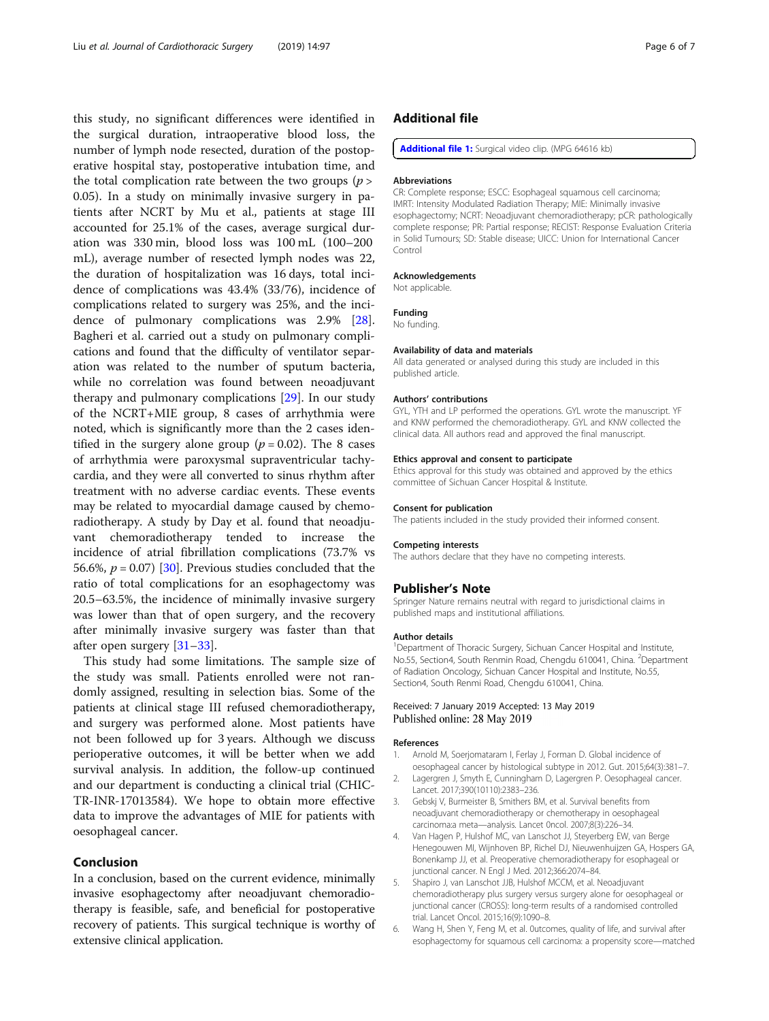<span id="page-5-0"></span>this study, no significant differences were identified in the surgical duration, intraoperative blood loss, the number of lymph node resected, duration of the postoperative hospital stay, postoperative intubation time, and the total complication rate between the two groups  $(p >$ 0.05). In a study on minimally invasive surgery in patients after NCRT by Mu et al., patients at stage III accounted for 25.1% of the cases, average surgical duration was 330 min, blood loss was 100 mL (100–200 mL), average number of resected lymph nodes was 22, the duration of hospitalization was 16 days, total incidence of complications was 43.4% (33/76), incidence of complications related to surgery was 25%, and the incidence of pulmonary complications was 2.9% [\[28](#page-6-0)]. Bagheri et al. carried out a study on pulmonary complications and found that the difficulty of ventilator separation was related to the number of sputum bacteria, while no correlation was found between neoadjuvant therapy and pulmonary complications [\[29](#page-6-0)]. In our study of the NCRT+MIE group, 8 cases of arrhythmia were noted, which is significantly more than the 2 cases identified in the surgery alone group ( $p = 0.02$ ). The 8 cases of arrhythmia were paroxysmal supraventricular tachycardia, and they were all converted to sinus rhythm after treatment with no adverse cardiac events. These events may be related to myocardial damage caused by chemoradiotherapy. A study by Day et al. found that neoadjuvant chemoradiotherapy tended to increase the incidence of atrial fibrillation complications (73.7% vs 56.6%,  $p = 0.07$  [\[30](#page-6-0)]. Previous studies concluded that the ratio of total complications for an esophagectomy was 20.5–63.5%, the incidence of minimally invasive surgery was lower than that of open surgery, and the recovery after minimally invasive surgery was faster than that after open surgery [\[31](#page-6-0)–[33\]](#page-6-0).

This study had some limitations. The sample size of the study was small. Patients enrolled were not randomly assigned, resulting in selection bias. Some of the patients at clinical stage III refused chemoradiotherapy, and surgery was performed alone. Most patients have not been followed up for 3 years. Although we discuss perioperative outcomes, it will be better when we add survival analysis. In addition, the follow-up continued and our department is conducting a clinical trial (CHIC-TR-INR-17013584). We hope to obtain more effective data to improve the advantages of MIE for patients with oesophageal cancer.

#### Conclusion

In a conclusion, based on the current evidence, minimally invasive esophagectomy after neoadjuvant chemoradiotherapy is feasible, safe, and beneficial for postoperative recovery of patients. This surgical technique is worthy of extensive clinical application.

# Additional file

[Additional file 1:](https://doi.org/10.1186/s13019-019-0920-0) Surgical video clip. (MPG 64616 kb)

# Abbreviations

CR: Complete response; ESCC: Esophageal squamous cell carcinoma; IMRT: Intensity Modulated Radiation Therapy; MIE: Minimally invasive esophagectomy; NCRT: Neoadjuvant chemoradiotherapy; pCR: pathologically complete response; PR: Partial response; RECIST: Response Evaluation Criteria in Solid Tumours; SD: Stable disease; UICC: Union for International Cancer Control

#### Acknowledgements

Not applicable.

### Funding

No funding.

# Availability of data and materials

All data generated or analysed during this study are included in this published article.

#### Authors' contributions

GYL, YTH and LP performed the operations. GYL wrote the manuscript. YF and KNW performed the chemoradiotherapy. GYL and KNW collected the clinical data. All authors read and approved the final manuscript.

#### Ethics approval and consent to participate

Ethics approval for this study was obtained and approved by the ethics committee of Sichuan Cancer Hospital & Institute.

#### Consent for publication

The patients included in the study provided their informed consent.

#### Competing interests

The authors declare that they have no competing interests.

#### Publisher's Note

Springer Nature remains neutral with regard to jurisdictional claims in published maps and institutional affiliations.

#### Author details

<sup>1</sup>Department of Thoracic Surgery, Sichuan Cancer Hospital and Institute, No.55, Section4, South Renmin Road, Chengdu 610041, China. <sup>2</sup>Department of Radiation Oncology, Sichuan Cancer Hospital and Institute, No.55, Section4, South Renmi Road, Chengdu 610041, China.

#### Received: 7 January 2019 Accepted: 13 May 2019 Published online: 28 May 2019

#### References

- 1. Arnold M, Soerjomataram I, Ferlay J, Forman D. Global incidence of oesophageal cancer by histological subtype in 2012. Gut. 2015;64(3):381–7.
- 2. Lagergren J, Smyth E, Cunningham D, Lagergren P. Oesophageal cancer. Lancet. 2017;390(10110):2383–236.
- 3. Gebskj V, Burmeister B, Smithers BM, et al. Survival benefits from neoadjuvant chemoradiotherapy or chemotherapy in oesophageal carcinoma:a meta—analysis. Lancet 0ncol. 2007;8(3):226–34.
- Van Hagen P, Hulshof MC, van Lanschot JJ, Steyerberg EW, van Berge Henegouwen MI, Wijnhoven BP, Richel DJ, Nieuwenhuijzen GA, Hospers GA, Bonenkamp JJ, et al. Preoperative chemoradiotherapy for esophageal or junctional cancer. N Engl J Med. 2012;366:2074–84.
- 5. Shapiro J, van Lanschot JJB, Hulshof MCCM, et al. Neoadjuvant chemoradiotherapy plus surgery versus surgery alone for oesophageal or junctional cancer (CROSS): long-term results of a randomised controlled trial. Lancet Oncol. 2015;16(9):1090–8.
- 6. Wang H, Shen Y, Feng M, et al. 0utcomes, quality of life, and survival after esophagectomy for squamous cell carcinoma: a propensity score—matched